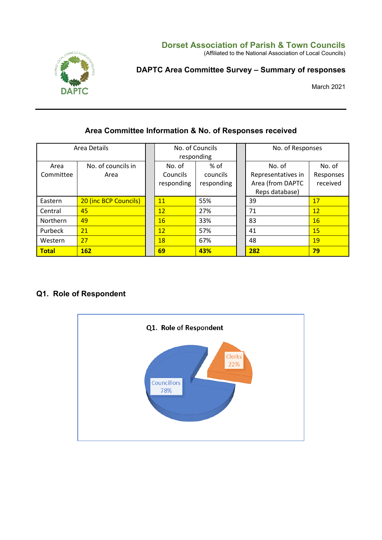#### **Dorset Association of Parish & Town Councils**

(Affiliated to the National Association of Local Councils)



# **DAPTC Area Committee Survey – Summary of responses**

March 2021

## **Area Committee Information & No. of Responses received**

| Area Details      |                            | No. of Councils<br>responding    |                                | No. of Responses                                                   |                                 |
|-------------------|----------------------------|----------------------------------|--------------------------------|--------------------------------------------------------------------|---------------------------------|
| Area<br>Committee | No. of councils in<br>Area | No. of<br>Councils<br>responding | % of<br>councils<br>responding | No. of<br>Representatives in<br>Area (from DAPTC<br>Reps database) | No. of<br>Responses<br>received |
| Eastern           | 20 (inc BCP Councils)      | 11                               | 55%                            | 39                                                                 | 17                              |
| Central           | 45                         | 12                               | 27%                            | 71                                                                 | 12                              |
| <b>Northern</b>   | 49                         | 16                               | 33%                            | 83                                                                 | 16                              |
| Purbeck           | 21                         | 12                               | 57%                            | 41                                                                 | 15                              |
| Western           | 27                         | 18                               | 67%                            | 48                                                                 | 19                              |
| <b>Total</b>      | <b>162</b>                 | 69                               | 43%                            | 282                                                                | 79                              |

# **Q1. Role of Respondent**

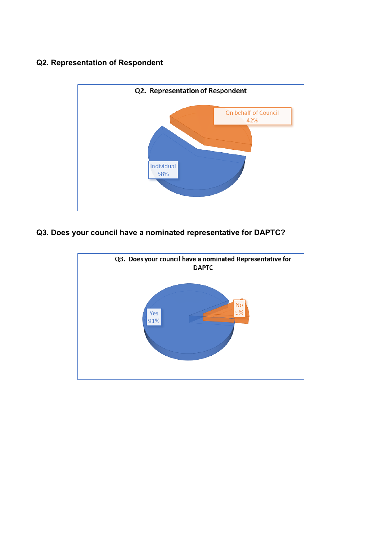# **Q2. Representation of Respondent**



## **Q3. Does your council have a nominated representative for DAPTC?**

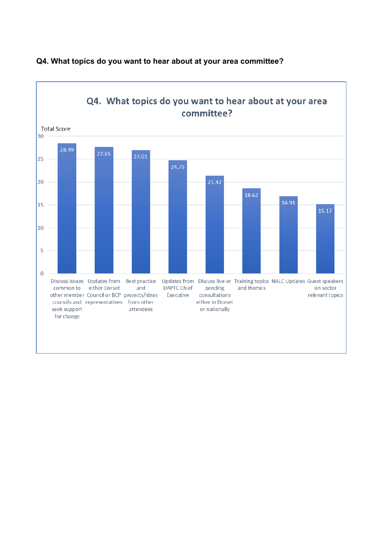

## **Q4. What topics do you want to hear about at your area committee?**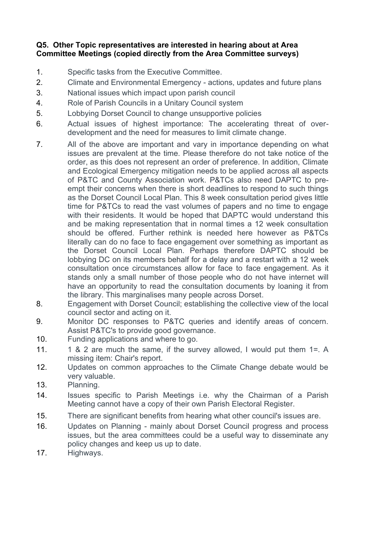#### **Q5. Other Topic representatives are interested in hearing about at Area Committee Meetings (copied directly from the Area Committee surveys)**

- 1. Specific tasks from the Executive Committee.
- 2. Climate and Environmental Emergency actions, updates and future plans
- 3. National issues which impact upon parish council
- 4. Role of Parish Councils in a Unitary Council system
- 5. Lobbying Dorset Council to change unsupportive policies
- 6. Actual issues of highest importance: The accelerating threat of overdevelopment and the need for measures to limit climate change.
- 7. All of the above are important and vary in importance depending on what issues are prevalent at the time. Please therefore do not take notice of the order, as this does not represent an order of preference. In addition, Climate and Ecological Emergency mitigation needs to be applied across all aspects of P&TC and County Association work. P&TCs also need DAPTC to preempt their concerns when there is short deadlines to respond to such things as the Dorset Council Local Plan. This 8 week consultation period gives little time for P&TCs to read the vast volumes of papers and no time to engage with their residents. It would be hoped that DAPTC would understand this and be making representation that in normal times a 12 week consultation should be offered. Further rethink is needed here however as P&TCs literally can do no face to face engagement over something as important as the Dorset Council Local Plan. Perhaps therefore DAPTC should be lobbying DC on its members behalf for a delay and a restart with a 12 week consultation once circumstances allow for face to face engagement. As it stands only a small number of those people who do not have internet will have an opportunity to read the consultation documents by loaning it from the library. This marginalises many people across Dorset.
- 8. Engagement with Dorset Council; establishing the collective view of the local council sector and acting on it.
- 9. Monitor DC responses to P&TC queries and identify areas of concern. Assist P&TC's to provide good governance.
- 10. Funding applications and where to go.
- 11. 1 & 2 are much the same, if the survey allowed, I would put them 1=. A missing item: Chair's report.
- 12. Updates on common approaches to the Climate Change debate would be very valuable.
- 13. Planning.
- 14. Issues specific to Parish Meetings i.e. why the Chairman of a Parish Meeting cannot have a copy of their own Parish Electoral Register.
- 15. There are significant benefits from hearing what other council's issues are.
- 16. Updates on Planning mainly about Dorset Council progress and process issues, but the area committees could be a useful way to disseminate any policy changes and keep us up to date.
- 17. Highways.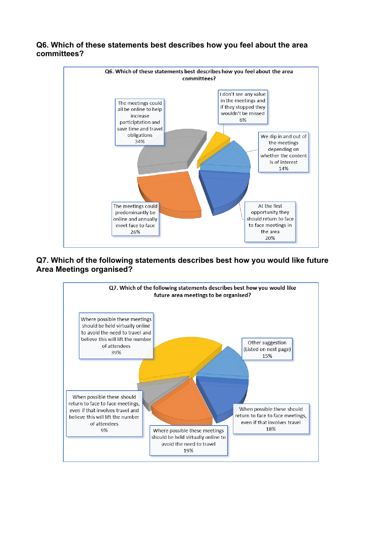

#### **Q6. Which of these statements best describes how you feel about the area committees?**

#### **Q7. Which of the following statements describes best how you would like future Area Meetings organised?**

At the first

opportunity they

should return to face

to face meetings in

the area 20%

The meetings could

predominantly be

online and annually

meet face to face

26%

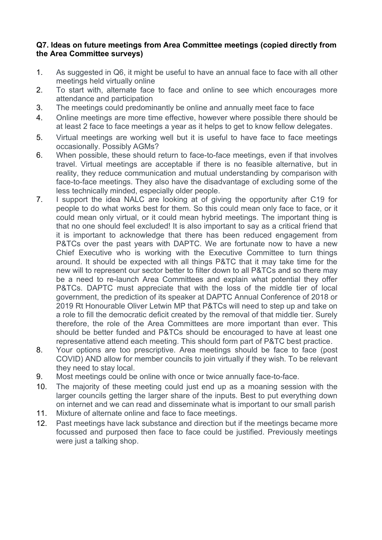#### **Q7. Ideas on future meetings from Area Committee meetings (copied directly from the Area Committee surveys)**

- 1. As suggested in Q6, it might be useful to have an annual face to face with all other meetings held virtually online
- 2. To start with, alternate face to face and online to see which encourages more attendance and participation
- 3. The meetings could predominantly be online and annually meet face to face
- 4. Online meetings are more time effective, however where possible there should be at least 2 face to face meetings a year as it helps to get to know fellow delegates.
- 5. Virtual meetings are working well but it is useful to have face to face meetings occasionally. Possibly AGMs?
- 6. When possible, these should return to face-to-face meetings, even if that involves travel. Virtual meetings are acceptable if there is no feasible alternative, but in reality, they reduce communication and mutual understanding by comparison with face-to-face meetings. They also have the disadvantage of excluding some of the less technically minded, especially older people.
- 7. I support the idea NALC are looking at of giving the opportunity after C19 for people to do what works best for them. So this could mean only face to face, or it could mean only virtual, or it could mean hybrid meetings. The important thing is that no one should feel excluded! It is also important to say as a critical friend that it is important to acknowledge that there has been reduced engagement from P&TCs over the past years with DAPTC. We are fortunate now to have a new Chief Executive who is working with the Executive Committee to turn things around. It should be expected with all things P&TC that it may take time for the new will to represent our sector better to filter down to all P&TCs and so there may be a need to re-launch Area Committees and explain what potential they offer P&TCs. DAPTC must appreciate that with the loss of the middle tier of local government, the prediction of its speaker at DAPTC Annual Conference of 2018 or 2019 Rt Honourable Oliver Letwin MP that P&TCs will need to step up and take on a role to fill the democratic deficit created by the removal of that middle tier. Surely therefore, the role of the Area Committees are more important than ever. This should be better funded and P&TCs should be encouraged to have at least one representative attend each meeting. This should form part of P&TC best practice.
- 8. Your options are too prescriptive. Area meetings should be face to face (post COVID) AND allow for member councils to join virtually if they wish. To be relevant they need to stay local.
- 9. Most meetings could be online with once or twice annually face-to-face.
- 10. The majority of these meeting could just end up as a moaning session with the larger councils getting the larger share of the inputs. Best to put everything down on internet and we can read and disseminate what is important to our small parish
- 11. Mixture of alternate online and face to face meetings.
- 12. Past meetings have lack substance and direction but if the meetings became more focussed and purposed then face to face could be justified. Previously meetings were just a talking shop.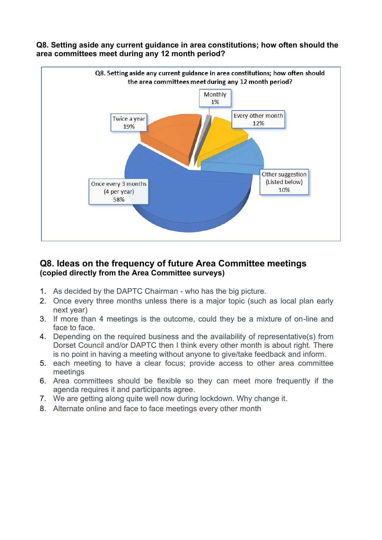

#### **Q8. Setting aside any current guidance in area constitutions; how often should the area committees meet during any 12 month period?**

# **Q8. Ideas on the frequency of future Area Committee meetings (copied directly from the Area Committee surveys)**

- 1. As decided by the DAPTC Chairman who has the big picture.
- 2. Once every three months unless there is a major topic (such as local plan early next year)
- 3. If more than 4 meetings is the outcome, could they be a mixture of on-line and face to face.
- 4. Depending on the required business and the availability of representative(s) from Dorset Council and/or DAPTC then I think every other month is about right. There is no point in having a meeting without anyone to give/take feedback and inform.
- 5. each meeting to have a clear focus; provide access to other area committee meetings
- 6. Area committees should be flexible so they can meet more frequently if the agenda requires it and participants agree.
- 7. We are getting along quite well now during lockdown. Why change it.
- 8. Alternate online and face to face meetings every other month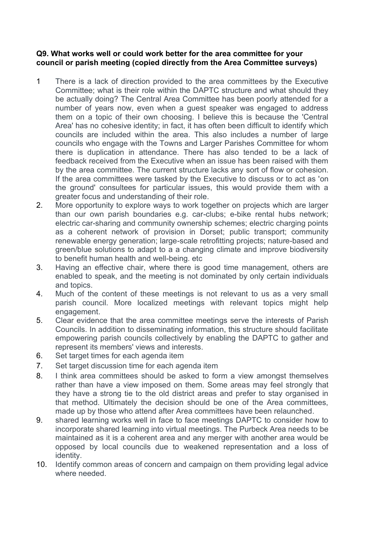#### **Q9. What works well or could work better for the area committee for your council or parish meeting (copied directly from the Area Committee surveys)**

- 1 There is a lack of direction provided to the area committees by the Executive Committee; what is their role within the DAPTC structure and what should they be actually doing? The Central Area Committee has been poorly attended for a number of years now, even when a guest speaker was engaged to address them on a topic of their own choosing. I believe this is because the 'Central Area' has no cohesive identity; in fact, it has often been difficult to identify which councils are included within the area. This also includes a number of large councils who engage with the Towns and Larger Parishes Committee for whom there is duplication in attendance. There has also tended to be a lack of feedback received from the Executive when an issue has been raised with them by the area committee. The current structure lacks any sort of flow or cohesion. If the area committees were tasked by the Executive to discuss or to act as 'on the ground' consultees for particular issues, this would provide them with a greater focus and understanding of their role.
- 2. More opportunity to explore ways to work together on projects which are larger than our own parish boundaries e.g. car-clubs; e-bike rental hubs network; electric car-sharing and community ownership schemes; electric charging points as a coherent network of provision in Dorset; public transport; community renewable energy generation; large-scale retrofitting projects; nature-based and green/blue solutions to adapt to a a changing climate and improve biodiversity to benefit human health and well-being. etc
- 3. Having an effective chair, where there is good time management, others are enabled to speak, and the meeting is not dominated by only certain individuals and topics.
- 4. Much of the content of these meetings is not relevant to us as a very small parish council. More localized meetings with relevant topics might help engagement.
- 5. Clear evidence that the area committee meetings serve the interests of Parish Councils. In addition to disseminating information, this structure should facilitate empowering parish councils collectively by enabling the DAPTC to gather and represent its members' views and interests.
- 6. Set target times for each agenda item
- 7. Set target discussion time for each agenda item
- 8. I think area committees should be asked to form a view amongst themselves rather than have a view imposed on them. Some areas may feel strongly that they have a strong tie to the old district areas and prefer to stay organised in that method. Ultimately the decision should be one of the Area committees, made up by those who attend after Area committees have been relaunched.
- 9. shared learning works well in face to face meetings DAPTC to consider how to incorporate shared learning into virtual meetings. The Purbeck Area needs to be maintained as it is a coherent area and any merger with another area would be opposed by local councils due to weakened representation and a loss of identity.
- 10. Identify common areas of concern and campaign on them providing legal advice where needed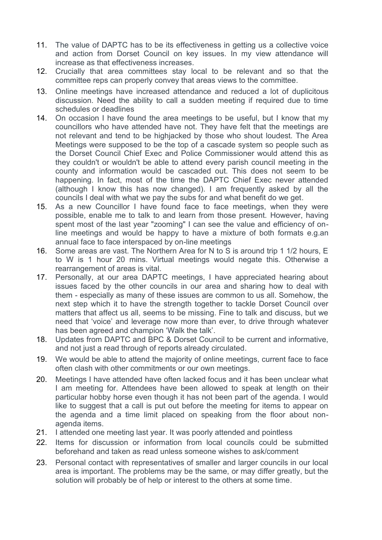- 11. The value of DAPTC has to be its effectiveness in getting us a collective voice and action from Dorset Council on key issues. In my view attendance will increase as that effectiveness increases.
- 12. Crucially that area committees stay local to be relevant and so that the committee reps can properly convey that areas views to the committee.
- 13. Online meetings have increased attendance and reduced a lot of duplicitous discussion. Need the ability to call a sudden meeting if required due to time schedules or deadlines
- 14. On occasion I have found the area meetings to be useful, but I know that my councillors who have attended have not. They have felt that the meetings are not relevant and tend to be highjacked by those who shout loudest. The Area Meetings were supposed to be the top of a cascade system so people such as the Dorset Council Chief Exec and Police Commissioner would attend this as they couldn't or wouldn't be able to attend every parish council meeting in the county and information would be cascaded out. This does not seem to be happening. In fact, most of the time the DAPTC Chief Exec never attended (although I know this has now changed). I am frequently asked by all the councils I deal with what we pay the subs for and what benefit do we get.
- 15. As a new Councillor I have found face to face meetings, when they were possible, enable me to talk to and learn from those present. However, having spent most of the last year "zooming" I can see the value and efficiency of online meetings and would be happy to have a mixture of both formats e.g.an annual face to face interspaced by on-line meetings
- 16. Some areas are vast. The Northern Area for N to S is around trip 1 1/2 hours, E to W is 1 hour 20 mins. Virtual meetings would negate this. Otherwise a rearrangement of areas is vital.
- 17. Personally, at our area DAPTC meetings, I have appreciated hearing about issues faced by the other councils in our area and sharing how to deal with them - especially as many of these issues are common to us all. Somehow, the next step which it to have the strength together to tackle Dorset Council over matters that affect us all, seems to be missing. Fine to talk and discuss, but we need that 'voice' and leverage now more than ever, to drive through whatever has been agreed and champion 'Walk the talk'.
- 18. Updates from DAPTC and BPC & Dorset Council to be current and informative, and not just a read through of reports already circulated.
- 19. We would be able to attend the majority of online meetings, current face to face often clash with other commitments or our own meetings.
- 20. Meetings I have attended have often lacked focus and it has been unclear what I am meeting for. Attendees have been allowed to speak at length on their particular hobby horse even though it has not been part of the agenda. I would like to suggest that a call is put out before the meeting for items to appear on the agenda and a time limit placed on speaking from the floor about nonagenda items.
- 21. I attended one meeting last year. It was poorly attended and pointless
- 22. Items for discussion or information from local councils could be submitted beforehand and taken as read unless someone wishes to ask/comment
- 23. Personal contact with representatives of smaller and larger councils in our local area is important. The problems may be the same, or may differ greatly, but the solution will probably be of help or interest to the others at some time.